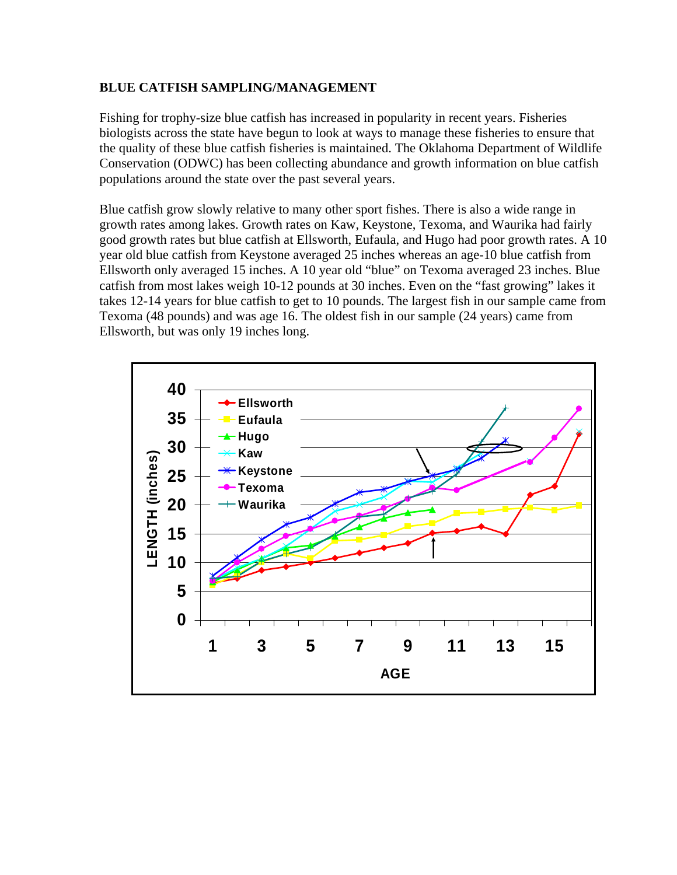## **BLUE CATFISH SAMPLING/MANAGEMENT**

Fishing for trophy-size blue catfish has increased in popularity in recent years. Fisheries biologists across the state have begun to look at ways to manage these fisheries to ensure that the quality of these blue catfish fisheries is maintained. The Oklahoma Department of Wildlife Conservation (ODWC) has been collecting abundance and growth information on blue catfish populations around the state over the past several years.

Blue catfish grow slowly relative to many other sport fishes. There is also a wide range in growth rates among lakes. Growth rates on Kaw, Keystone, Texoma, and Waurika had fairly good growth rates but blue catfish at Ellsworth, Eufaula, and Hugo had poor growth rates. A 10 year old blue catfish from Keystone averaged 25 inches whereas an age-10 blue catfish from Ellsworth only averaged 15 inches. A 10 year old "blue" on Texoma averaged 23 inches. Blue catfish from most lakes weigh 10-12 pounds at 30 inches. Even on the "fast growing" lakes it takes 12-14 years for blue catfish to get to 10 pounds. The largest fish in our sample came from Texoma (48 pounds) and was age 16. The oldest fish in our sample (24 years) came from Ellsworth, but was only 19 inches long.